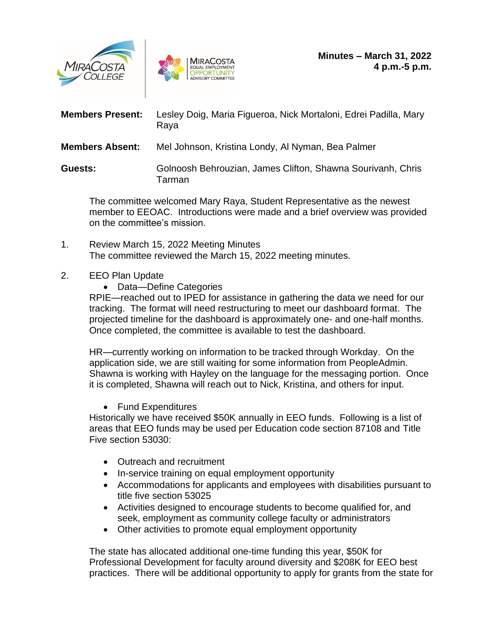



| <b>Members Present:</b> | Lesley Doig, Maria Figueroa, Nick Mortaloni, Edrei Padilla, Mary<br>Raya |
|-------------------------|--------------------------------------------------------------------------|
| <b>Members Absent:</b>  | Mel Johnson, Kristina Londy, Al Nyman, Bea Palmer                        |
| Guests:                 | Golnoosh Behrouzian, James Clifton, Shawna Sourivanh, Chris<br>Tarman    |

The committee welcomed Mary Raya, Student Representative as the newest member to EEOAC. Introductions were made and a brief overview was provided on the committee's mission.

1. Review March 15, 2022 Meeting Minutes The committee reviewed the March 15, 2022 meeting minutes.

## 2. EEO Plan Update

• Data—Define Categories

RPIE—reached out to IPED for assistance in gathering the data we need for our tracking. The format will need restructuring to meet our dashboard format. The projected timeline for the dashboard is approximately one- and one-half months. Once completed, the committee is available to test the dashboard.

HR—currently working on information to be tracked through Workday. On the application side, we are still waiting for some information from PeopleAdmin. Shawna is working with Hayley on the language for the messaging portion. Once it is completed, Shawna will reach out to Nick, Kristina, and others for input.

• Fund Expenditures

Historically we have received \$50K annually in EEO funds. Following is a list of areas that EEO funds may be used per Education code section 87108 and Title Five section 53030:

- Outreach and recruitment
- In-service training on equal employment opportunity
- Accommodations for applicants and employees with disabilities pursuant to title five section 53025
- Activities designed to encourage students to become qualified for, and seek, employment as community college faculty or administrators
- Other activities to promote equal employment opportunity

The state has allocated additional one-time funding this year, \$50K for Professional Development for faculty around diversity and \$208K for EEO best practices. There will be additional opportunity to apply for grants from the state for